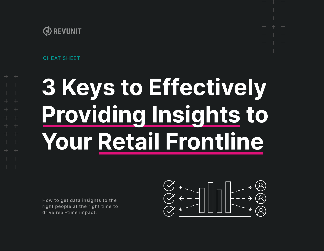CHEAT SHEET

# **3 Keys to Effectively Providing Insights to Your Retail Frontline**

How to get data insights to the right people at the right time to drive real-time impact.

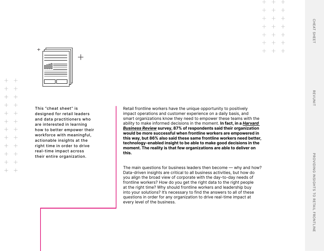$\ddot{}$ ooOU

 $\pm$ 

This "cheat sheet" is designed for retail leaders and data practitioners who are interested in learning how to better empower their workforce with meaningful, actionable insights at the right time in order to drive real-time impact across their entire organization.

 $+$ 

Retail frontline workers have the unique opportunity to positively impact operations and customer experience on a daily basis, and smart organizations know they need to empower these teams with the ability to make informed decisions in the moment. **In fact, in a** *[Harvard](https://www.thoughtspot.com/sites/default/files/pdf/HBR-ThoughtSpot-The-New-Decision-Makers.pdf)  [Business Review](https://www.thoughtspot.com/sites/default/files/pdf/HBR-ThoughtSpot-The-New-Decision-Makers.pdf)* **survey, 87% of respondents said their organization would be more successful when frontline workers are empowered in this way, but 86% also said these same frontline workers need better, technology-enabled insight to be able to make good decisions in the moment. The reality is that few organizations are able to deliver on this.**

The main questions for business leaders then become — why and how? Data-driven insights are critical to all business activities, but how do you align the broad view of corporate with the day-to-day needs of frontline workers? How do you get the right data to the right people at the right time? Why should frontline workers and leadership buy into your solutions? It's necessary to find the answers to all of these questions in order for any organization to drive real-time impact at every level of the business.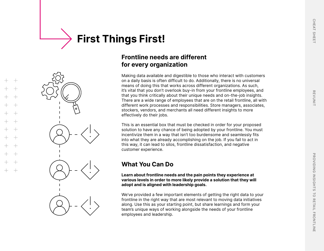## **First Things First!**

## **Frontline needs are different for every organization**

Making data available and digestible to those who interact with customers on a daily basis is often difficult to do. Additionally, there is no universal means of doing this that works across different organizations. As such, it's vital that you don't overlook buy-in from your frontline employees, and that you think critically about their unique needs and on-the-job insights. There are a wide range of employees that are on the retail frontline, all with different work processes and responsibilities. Store managers, associates, stockers, vendors, and merchants all need different insights to more effectively do their jobs.

This is an essential box that must be checked in order for your proposed solution to have any chance of being adopted by your frontline. You must incentivize them in a way that isn't too burdensome and seamlessly fits into what they are already accomplishing on the job. If you fail to act in this way, it can lead to silos, frontline dissatisfaction, and negative customer experience.

## **What You Can Do**

**Learn about frontline needs and the pain points they experience at various levels in order to more likely provide a solution that they will adopt and is aligned with leadership goals.**

We've provided a few important elements of getting the right data to your frontline in the right way that are most relevant to moving data initiatives along. Use this as your starting point, but share learnings and form your team's unique ways of working alongside the needs of your frontline employees and leadership.

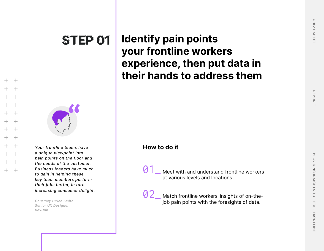

*Your frontline teams have* **How to do it** *a unique viewpoint into pain points on the floor and the needs of the customer. Business leaders have much to gain in helping these key team members perform their jobs better, in turn increasing consumer delight.*

*Courtney Ulrich Smith Senior UX Designer RevUnit*

## **Identify pain points your frontline workers experience, then put data in their hands to address them**

01 \_ Meet with and understand frontline workers at various levels and locations.

02 \_ Match frontline workers' insights of on-thejob pain points with the foresights of data.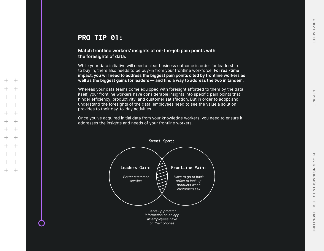## PRO TIP 01:

**Match frontline workers' insights of on-the-job pain points with the foresights of data.**

While your data initiative will need a clear business outcome in order for leadership to buy in, there also needs to be buy-in from your frontline workforce. **For real-time impact, you will need to address the biggest pain points cited by frontline workers as well as the biggest gains for leaders — and find a way to address the two in tandem.**

Whereas your data teams come equipped with foresight afforded to them by the data itself, your frontline workers have considerable insights into specific pain points that hinder efficiency, productivity, and customer satisfaction. But in order to adopt and understand the foresights of the data, employees need to see the value a solution provides to their day-to-day activities.

Once you've acquired initial data from your knowledge workers, you need to ensure it addresses the insights and needs of your frontline workers.

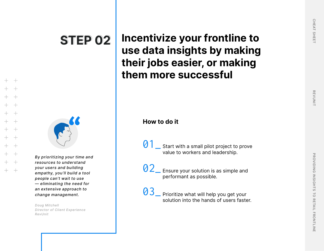

*By prioritizing your time and resources to understand your users and building empathy, you'll build a tool people can't wait to use — eliminating the need for an extensive approach to change management.*

*Doug Mitchell Director of Client Experience RevUnit*

**Incentivize your frontline to use data insights by making their jobs easier, or making them more successful**

01 Start with a small pilot project to prove value to workers and leadership.

02 Ensure your solution is as simple and performant as possible.

03 Prioritize what will help you get your solution into the hands of users faster.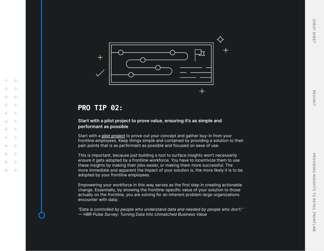

## PRO TIP 02:

### **Start with a pilot project to prove value, ensuring it's as simple and performant as possible**

Start with a [pilot project](https://revunit.com/offerings/data-connection-pre-flight) to prove out your concept and gather buy-in from your frontline employees. Keep things simple and contained by providing a solution to their pain points that is as performant as possible and focused on ease of use.

This is important, because just building a tool to surface insights won't necessarily ensure it gets adopted by a frontline workforce. You have to incentivize them to use these insights by making their jobs easier, or making them more successful. The more immediate and apparent the impact of your solution is, the more likely it is to be adopted by your frontline employees.

Empowering your workforce in this way serves as the first step in creating actionable change. Essentially, by showing the frontline-specific value of your solution to those actually on the frontline, you are solving for an inherent problem large organizations encounter with data:

*"Data is controlled by people who understand data and needed by people who don't." — HBR Pulse Survey: Turning Data Into Unmatched Business Value*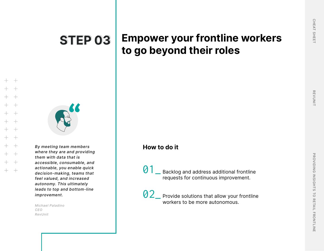## **STEP 03 STEP 03**

## **Empower your frontline workers to go beyond their roles**



*By meeting team members where they are and providing them with data that is accessible, consumable, and actionable, you enable quick decision-making, teams that feel valued, and increased autonomy. This ultimately leads to top and bottom-line improvement.*

*Michael Paladino CEO RevUnit*

## **How to do it**

01\_ Backlog and address additional frontline requests for continuous improvement.

02 Provide solutions that allow your frontline workers to be more autonomous.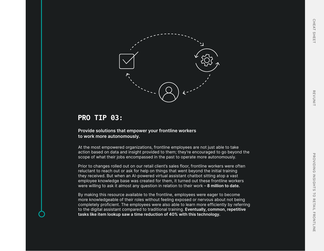



## PRO TIP 03:

**Provide solutions that empower your frontline workers to work more autonomously.**

At the most empowered organizations, frontline employees are not just able to take action based on data and insight provided to them; they're encouraged to go beyond the scope of what their jobs encompassed in the past to operate more autonomously.

Prior to changes rolled out on our retail client's sales floor, frontline workers were often reluctant to reach out or ask for help on things that went beyond the initial training they received. But when an AI-powered virtual assistant chatbot sitting atop a vast employee knowledge base was created for them, it turned out these frontline workers were willing to ask it almost any question in relation to their work – **8 million to date.** 

By making this resource available to the frontline, employees were eager to become more knowledgeable of their roles without feeling exposed or nervous about not being completely proficient. The employees were also able to learn more efficiently by referring to the digital assistant compared to traditional training. **Eventually, common, repetitive tasks like item lookup saw a time reduction of 40% with this technology.**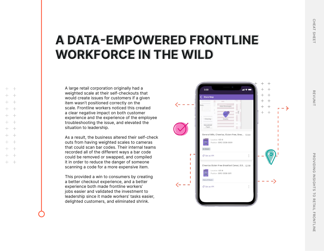## **A DATA-EMPOWERED FRONTLINE A DATA-EMPOWERED FRONTLINE WORKFORCE IN THE WILD WORKFORCE IN THE WILD**

A large retail corporation originally had a weighted scale at their self-checkouts that would create issues for customers if a given item wasn't positioned correctly on the scale. Frontline workers noticed this created a clear negative impact on both customer experience and the experience of the employee troubleshooting the issue, and elevated the situation to leadership.

As a result, the business altered their self-check outs from having weighted scales to cameras that could scan bar codes. Their internal teams recorded all of the different ways a bar code could be removed or swapped, and compiled it in order to reduce the danger of someone scanning a code for a more expensive item.

This provided a win to consumers by creating a better checkout experience, and a better experience both made frontline workers' jobs easier and validated the investment to leadership since it made workers' tasks easier, delighted customers, and eliminated shrink.



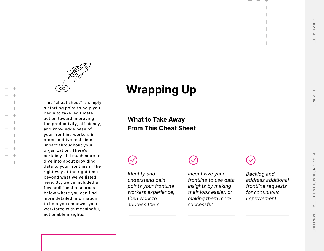

This "cheat sheet" is simply a starting point to help you begin to take legitimate action toward improving the productivity, efficiency, and knowledge base of your frontline workers in order to drive real-time impact throughout your organization. There's certainly still much more to dive into about providing data to your frontline in the right way at the right time beyond what we've listed here. So, we've included a few additional resources below where you can find more detailed information to help you empower your workforce with meaningful, actionable insights.

 $^{+}$  $+$ 

## **Wrapping Up**

**What to Take Away From This Cheat Sheet**

*Identify and understand pain points your frontline workers experience, then work to address them.*

*Incentivize your frontline to use data insights by making their jobs easier, or making them more successful.*

*Backlog and address additional frontline requests for continuous improvement.*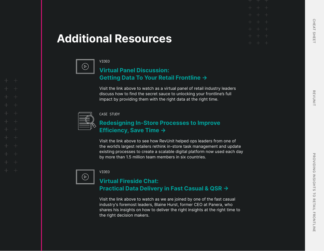## **Additional Resources**



### VIDEO

## **[Virtual Panel Discussion:](https://revunit.com/webinar/getting-data-to-your-retail-frontline)  [Getting Data To Your Retail Frontline](https://revunit.com/webinar/getting-data-to-your-retail-frontline) [→](https://revunit.com/webinar/getting-data-to-your-retail-frontline)**

Visit the link above to watch as a virtual panel of retail industry leaders discuss how to find the secret sauce to unlocking your frontline's full impact by providing them with the right data at the right time.



### CASE STUDY

## **[Redesigning In-Store Processes to Improve](https://revunit.com/case-studies/store-efficiency)  [Efficiency, Save Time →](https://revunit.com/case-studies/store-efficiency)**

Visit the link above to see how RevUnit helped ops leaders from one of the world's largest retailers rethink in-store task management and update existing processes to create a scalable digital platform now used each day by more than 1.5 million team members in six countries.



### VIDEO

## **[Virtual Fireside Chat:](https://youtu.be/c8kxwMplros)  [Practical Data Delivery in Fast Casual & QSR →](https://youtu.be/c8kxwMplros)**

Visit the link above to watch as we are joined by one of the fast casual industry's foremost leaders, Blaine Hurst, former CEO at Panera, who shares his insights on how to deliver the right insights at the right time to the right decision makers.